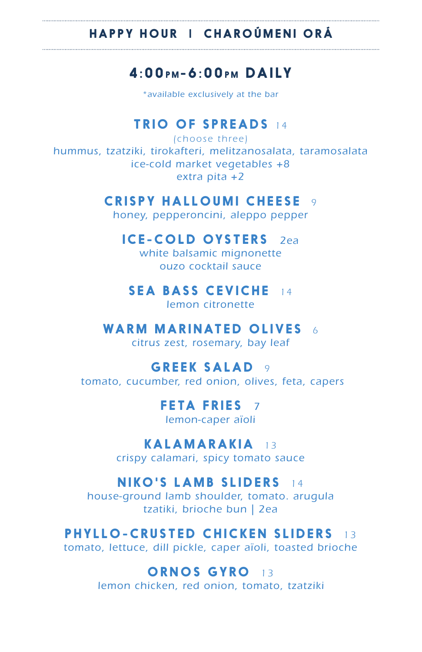#### HAPPY HOUR | CHARO Ú MENI ORÁ

## $4.00$  PM - 6:00 PM DAILY

*\*available exclusively at the bar*

### TRIO OF SPREADS *14*

*(choose three) hummus, tzatziki, tirokafteri, melitzanosalata, taramosalata ice-cold market vegetables +8 extra pita +2*

### CRISPY HALLOUMI CHEESE *9*

*honey, pepperoncini, aleppo pepper*

#### ICE-COLD OYSTERS *2ea*

*white balsamic mignonette ouzo cocktail sauce*

#### SEA BASS CEVICHE *14*

*lemon citronette*

#### WARM MARINATED OLIVES *6*

*citrus zest, rosemary, bay leaf*

#### GREEK SALAD *9*

*tomato, cucumber, red onion, olives, feta, capers*

# FETA FRIES *7*

*lemon-caper aïoli*

### KALAMARAKIA *13*

*crispy calamari, spicy tomato sauce*

#### NIKO'S LAMB SLIDERS *14*

*house-ground lamb shoulder, tomato. arugula tzatiki, brioche bun | 2ea*

### PHYLLO-CRUSTED CHICKEN SLIDERS *13*

*tomato, lettuce, dill pickle, caper aïoli, toasted brioche*

### ORNOS GYRO *13*

*lemon chicken, red onion, tomato, tzatziki*